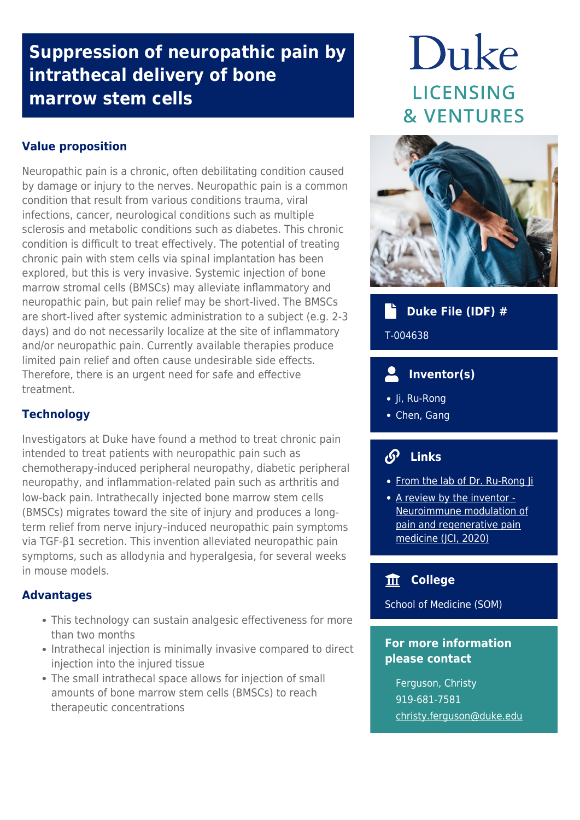## **Suppression of neuropathic pain by intrathecal delivery of bone marrow stem cells**

## **Value proposition**

Neuropathic pain is a chronic, often debilitating condition caused by damage or injury to the nerves. Neuropathic pain is a common condition that result from various conditions trauma, viral infections, cancer, neurological conditions such as multiple sclerosis and metabolic conditions such as diabetes. This chronic condition is difficult to treat effectively. The potential of treating chronic pain with stem cells via spinal implantation has been explored, but this is very invasive. Systemic injection of bone marrow stromal cells (BMSCs) may alleviate inflammatory and neuropathic pain, but pain relief may be short-lived. The BMSCs are short-lived after systemic administration to a subject (e.g. 2-3 days) and do not necessarily localize at the site of inflammatory and/or neuropathic pain. Currently available therapies produce limited pain relief and often cause undesirable side effects. Therefore, there is an urgent need for safe and effective treatment.

## **Technology**

Investigators at Duke have found a method to treat chronic pain intended to treat patients with neuropathic pain such as chemotherapy-induced peripheral neuropathy, diabetic peripheral neuropathy, and inflammation-related pain such as arthritis and low-back pain. Intrathecally injected bone marrow stem cells (BMSCs) migrates toward the site of injury and produces a longterm relief from nerve injury–induced neuropathic pain symptoms via TGF-β1 secretion. This invention alleviated neuropathic pain symptoms, such as allodynia and hyperalgesia, for several weeks in mouse models.

## **Advantages**

- This technology can sustain analgesic effectiveness for more than two months
- Intrathecal injection is minimally invasive compared to direct injection into the injured tissue
- The small intrathecal space allows for injection of small amounts of bone marrow stem cells (BMSCs) to reach therapeutic concentrations

# Duke **LICENSING & VENTURES**



## **Duke File (IDF) #**

T-004638

#### $\overline{\mathbf{S}}$  **Inventor(s)**

- Ji, Ru-Rong
- Chen, Gang

## **Links**

- [From the lab of Dr. Ru-Rong Ji](https://www.neuro.duke.edu/research/faculty-labs/ji-lab)
- [A review by the inventor -](https://www.jci.org/articles/view/134439) [Neuroimmune modulation of](https://www.jci.org/articles/view/134439) [pain and regenerative pain](https://www.jci.org/articles/view/134439) [medicine \(JCI, 2020\)](https://www.jci.org/articles/view/134439)

## **College**

School of Medicine (SOM)

### **For more information please contact**

Ferguson, Christy 919-681-7581 [christy.ferguson@duke.edu](mailto:christy.ferguson@duke.edu)